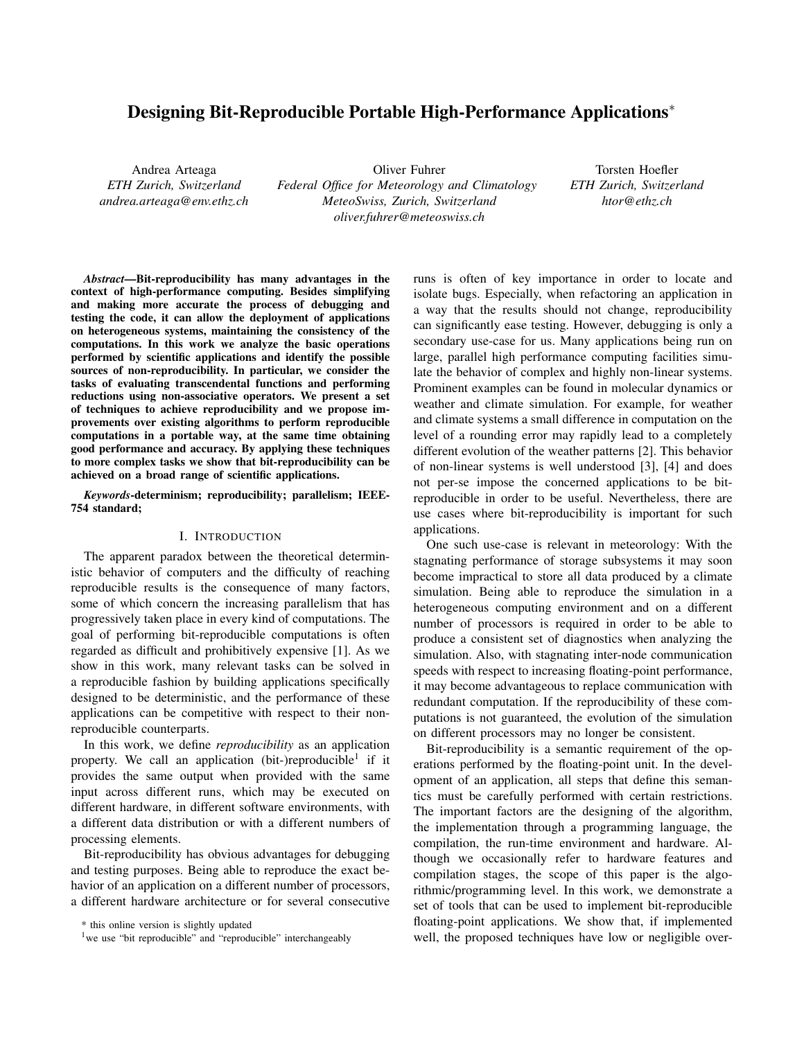# Designing Bit-Reproducible Portable High-Performance Applications<sup>∗</sup>

Andrea Arteaga *ETH Zurich, Switzerland andrea.arteaga@env.ethz.ch*

Oliver Fuhrer *Federal Office for Meteorology and Climatology MeteoSwiss, Zurich, Switzerland oliver.fuhrer@meteoswiss.ch*

Torsten Hoefler *ETH Zurich, Switzerland htor@ethz.ch*

*Abstract*—Bit-reproducibility has many advantages in the context of high-performance computing. Besides simplifying and making more accurate the process of debugging and testing the code, it can allow the deployment of applications on heterogeneous systems, maintaining the consistency of the computations. In this work we analyze the basic operations performed by scientific applications and identify the possible sources of non-reproducibility. In particular, we consider the tasks of evaluating transcendental functions and performing reductions using non-associative operators. We present a set of techniques to achieve reproducibility and we propose improvements over existing algorithms to perform reproducible computations in a portable way, at the same time obtaining good performance and accuracy. By applying these techniques to more complex tasks we show that bit-reproducibility can be achieved on a broad range of scientific applications.

*Keywords*-determinism; reproducibility; parallelism; IEEE-754 standard;

#### I. INTRODUCTION

The apparent paradox between the theoretical deterministic behavior of computers and the difficulty of reaching reproducible results is the consequence of many factors, some of which concern the increasing parallelism that has progressively taken place in every kind of computations. The goal of performing bit-reproducible computations is often regarded as difficult and prohibitively expensive [1]. As we show in this work, many relevant tasks can be solved in a reproducible fashion by building applications specifically designed to be deterministic, and the performance of these applications can be competitive with respect to their nonreproducible counterparts.

In this work, we define *reproducibility* as an application property. We call an application (bit-)reproducible<sup>1</sup> if it provides the same output when provided with the same input across different runs, which may be executed on different hardware, in different software environments, with a different data distribution or with a different numbers of processing elements.

Bit-reproducibility has obvious advantages for debugging and testing purposes. Being able to reproduce the exact behavior of an application on a different number of processors, a different hardware architecture or for several consecutive runs is often of key importance in order to locate and isolate bugs. Especially, when refactoring an application in a way that the results should not change, reproducibility can significantly ease testing. However, debugging is only a secondary use-case for us. Many applications being run on large, parallel high performance computing facilities simulate the behavior of complex and highly non-linear systems. Prominent examples can be found in molecular dynamics or weather and climate simulation. For example, for weather and climate systems a small difference in computation on the level of a rounding error may rapidly lead to a completely different evolution of the weather patterns [2]. This behavior of non-linear systems is well understood [3], [4] and does not per-se impose the concerned applications to be bitreproducible in order to be useful. Nevertheless, there are use cases where bit-reproducibility is important for such applications.

One such use-case is relevant in meteorology: With the stagnating performance of storage subsystems it may soon become impractical to store all data produced by a climate simulation. Being able to reproduce the simulation in a heterogeneous computing environment and on a different number of processors is required in order to be able to produce a consistent set of diagnostics when analyzing the simulation. Also, with stagnating inter-node communication speeds with respect to increasing floating-point performance, it may become advantageous to replace communication with redundant computation. If the reproducibility of these computations is not guaranteed, the evolution of the simulation on different processors may no longer be consistent.

Bit-reproducibility is a semantic requirement of the operations performed by the floating-point unit. In the development of an application, all steps that define this semantics must be carefully performed with certain restrictions. The important factors are the designing of the algorithm, the implementation through a programming language, the compilation, the run-time environment and hardware. Although we occasionally refer to hardware features and compilation stages, the scope of this paper is the algorithmic/programming level. In this work, we demonstrate a set of tools that can be used to implement bit-reproducible floating-point applications. We show that, if implemented well, the proposed techniques have low or negligible over-

<sup>\*</sup> this online version is slightly updated

<sup>&</sup>lt;sup>1</sup> we use "bit reproducible" and "reproducible" interchangeably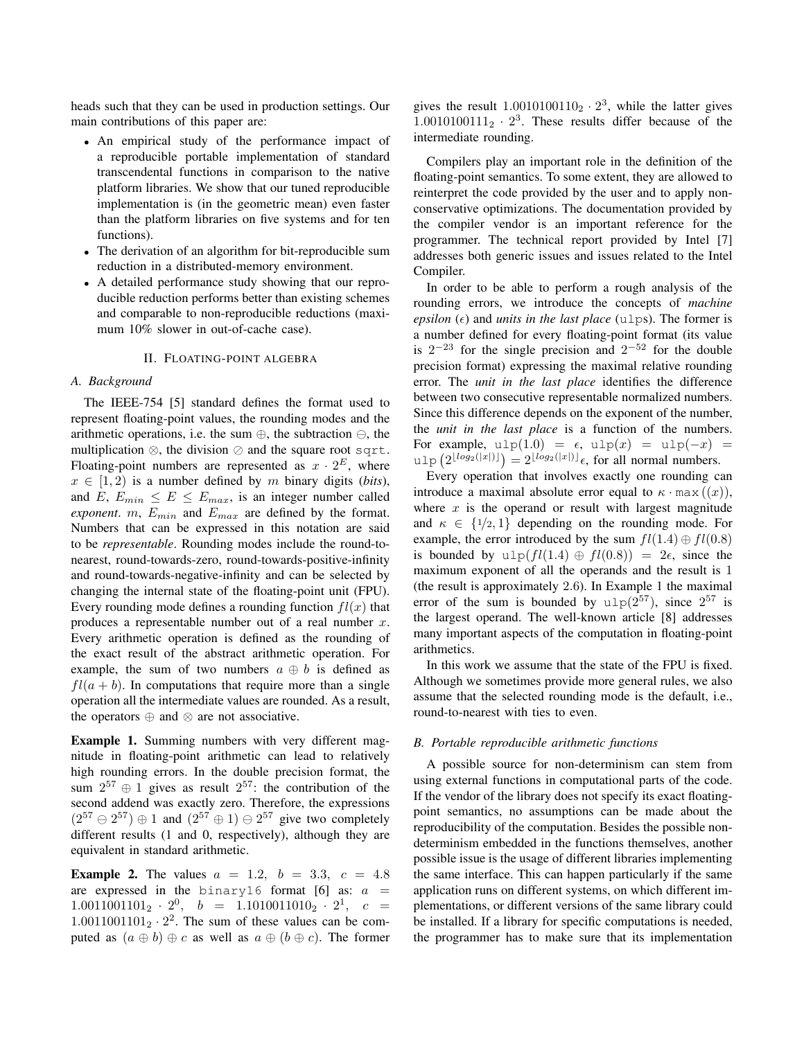heads such that they can be used in production settings. Our main contributions of this paper are:

- An empirical study of the performance impact of a reproducible portable implementation of standard transcendental functions in comparison to the native platform libraries. We show that our tuned reproducible implementation is (in the geometric mean) even faster than the platform libraries on five systems and for ten functions).
- The derivation of an algorithm for bit-reproducible sum reduction in a distributed-memory environment.
- A detailed performance study showing that our reproducible reduction performs better than existing schemes and comparable to non-reproducible reductions (maximum 10% slower in out-of-cache case).

### II. FLOATING-POINT ALGEBRA

# *A. Background*

The IEEE-754 [5] standard defines the format used to represent floating-point values, the rounding modes and the arithmetic operations, i.e. the sum  $\oplus$ , the subtraction  $\ominus$ , the multiplication  $\otimes$ , the division  $\otimes$  and the square root sqrt. Floating-point numbers are represented as  $x \cdot 2^E$ , where  $x \in [1, 2)$  is a number defined by m binary digits (*bits*), and E,  $E_{min} \leq E \leq E_{max}$ , is an integer number called *exponent.* m,  $E_{min}$  and  $E_{max}$  are defined by the format. Numbers that can be expressed in this notation are said to be *representable*. Rounding modes include the round-tonearest, round-towards-zero, round-towards-positive-infinity and round-towards-negative-infinity and can be selected by changing the internal state of the floating-point unit (FPU). Every rounding mode defines a rounding function  $fl(x)$  that produces a representable number out of a real number  $x$ . Every arithmetic operation is defined as the rounding of the exact result of the abstract arithmetic operation. For example, the sum of two numbers  $a \oplus b$  is defined as  $fl(a + b)$ . In computations that require more than a single operation all the intermediate values are rounded. As a result, the operators ⊕ and ⊗ are not associative.

Example 1. Summing numbers with very different magnitude in floating-point arithmetic can lead to relatively high rounding errors. In the double precision format, the sum  $2^{57} \oplus 1$  gives as result  $2^{57}$ : the contribution of the second addend was exactly zero. Therefore, the expressions  $(2^{57} \ominus 2^{57}) \oplus 1$  and  $(2^{57} \oplus 1) \ominus 2^{57}$  give two completely different results (1 and 0, respectively), although they are equivalent in standard arithmetic.

**Example 2.** The values  $a = 1.2$ ,  $b = 3.3$ ,  $c = 4.8$ are expressed in the binary16 format [6] as:  $a =$  $1.0011001101_2 \cdot 2^0$ ,  $b = 1.1010011010_2 \cdot 2^1$ ,  $c =$  $1.0011001101<sub>2</sub> \cdot 2<sup>2</sup>$ . The sum of these values can be computed as  $(a \oplus b) \oplus c$  as well as  $a \oplus (b \oplus c)$ . The former

gives the result  $1.0010100110<sub>2</sub> \cdot 2<sup>3</sup>$ , while the latter gives  $1.0010100111_2 \cdot 2^3$ . These results differ because of the intermediate rounding.

Compilers play an important role in the definition of the floating-point semantics. To some extent, they are allowed to reinterpret the code provided by the user and to apply nonconservative optimizations. The documentation provided by the compiler vendor is an important reference for the programmer. The technical report provided by Intel [7] addresses both generic issues and issues related to the Intel Compiler.

In order to be able to perform a rough analysis of the rounding errors, we introduce the concepts of *machine epsilon*  $(\epsilon)$  and *units in the last place* (ulps). The former is a number defined for every floating-point format (its value is  $2^{-23}$  for the single precision and  $2^{-52}$  for the double precision format) expressing the maximal relative rounding error. The *unit in the last place* identifies the difference between two consecutive representable normalized numbers. Since this difference depends on the exponent of the number, the *unit in the last place* is a function of the numbers. For example, ulp(1.0) =  $\epsilon$ , ulp(x) = ulp(-x) =  $\text{sup}\left(2^{\lfloor log_2(|x|)\rfloor}\right) = 2^{\lfloor log_2(|x|)\rfloor}\epsilon$ , for all normal numbers.

Every operation that involves exactly one rounding can introduce a maximal absolute error equal to  $\kappa \cdot \max((x))$ , where  $x$  is the operand or result with largest magnitude and  $\kappa \in \{1/2, 1\}$  depending on the rounding mode. For example, the error introduced by the sum  $fl(1.4) \oplus fl(0.8)$ is bounded by  $u \ln(f l(1.4) \oplus fl(0.8)) = 2\epsilon$ , since the maximum exponent of all the operands and the result is 1 (the result is approximately 2.6). In Example 1 the maximal error of the sum is bounded by  $u \ln(2^{57})$ , since  $2^{57}$  is the largest operand. The well-known article [8] addresses many important aspects of the computation in floating-point arithmetics.

In this work we assume that the state of the FPU is fixed. Although we sometimes provide more general rules, we also assume that the selected rounding mode is the default, i.e., round-to-nearest with ties to even.

### *B. Portable reproducible arithmetic functions*

A possible source for non-determinism can stem from using external functions in computational parts of the code. If the vendor of the library does not specify its exact floatingpoint semantics, no assumptions can be made about the reproducibility of the computation. Besides the possible nondeterminism embedded in the functions themselves, another possible issue is the usage of different libraries implementing the same interface. This can happen particularly if the same application runs on different systems, on which different implementations, or different versions of the same library could be installed. If a library for specific computations is needed, the programmer has to make sure that its implementation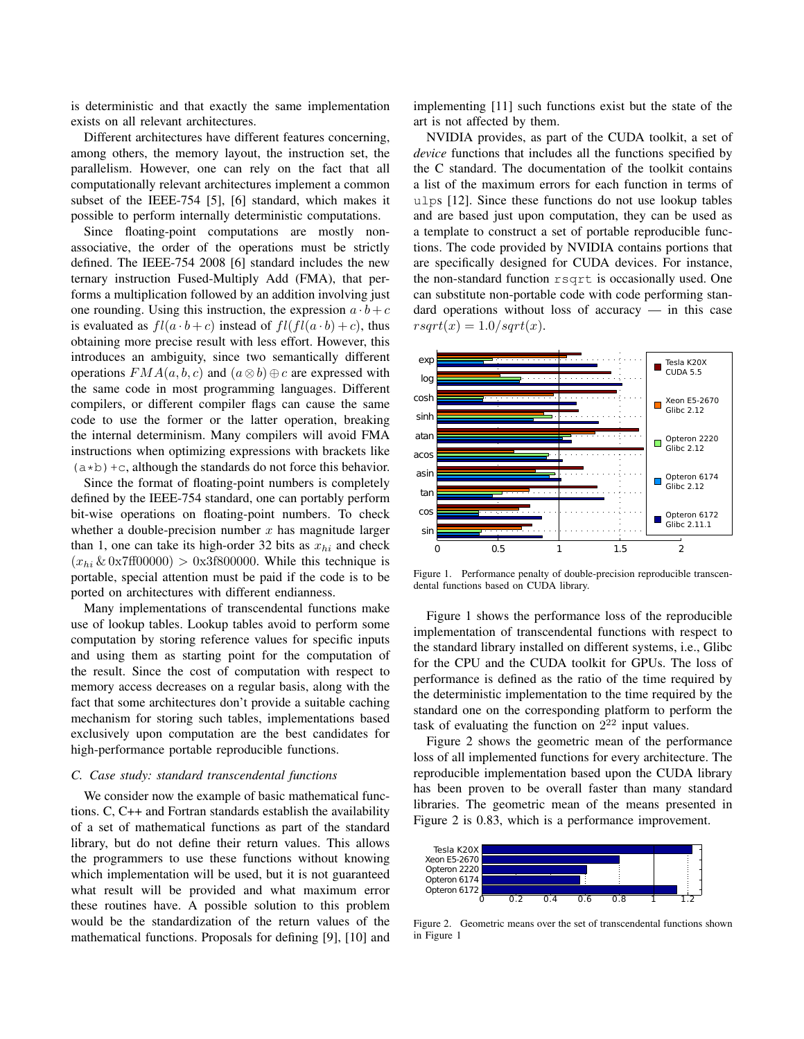is deterministic and that exactly the same implementation exists on all relevant architectures.

Different architectures have different features concerning, among others, the memory layout, the instruction set, the parallelism. However, one can rely on the fact that all computationally relevant architectures implement a common subset of the IEEE-754 [5], [6] standard, which makes it possible to perform internally deterministic computations.

Since floating-point computations are mostly nonassociative, the order of the operations must be strictly defined. The IEEE-754 2008 [6] standard includes the new ternary instruction Fused-Multiply Add (FMA), that performs a multiplication followed by an addition involving just one rounding. Using this instruction, the expression  $a \cdot b + c$ is evaluated as  $fl(a \cdot b + c)$  instead of  $fl(fl(a \cdot b) + c)$ , thus obtaining more precise result with less effort. However, this introduces an ambiguity, since two semantically different operations  $FMA(a, b, c)$  and  $(a \otimes b) \oplus c$  are expressed with the same code in most programming languages. Different compilers, or different compiler flags can cause the same code to use the former or the latter operation, breaking the internal determinism. Many compilers will avoid FMA instructions when optimizing expressions with brackets like  $(a * b) + c$ , although the standards do not force this behavior.

Since the format of floating-point numbers is completely defined by the IEEE-754 standard, one can portably perform bit-wise operations on floating-point numbers. To check whether a double-precision number  $x$  has magnitude larger than 1, one can take its high-order 32 bits as  $x_{hi}$  and check  $(x<sub>hi</sub> \& 0x7ff00000) > 0x3f800000$ . While this technique is portable, special attention must be paid if the code is to be ported on architectures with different endianness.

Many implementations of transcendental functions make use of lookup tables. Lookup tables avoid to perform some computation by storing reference values for specific inputs and using them as starting point for the computation of the result. Since the cost of computation with respect to memory access decreases on a regular basis, along with the fact that some architectures don't provide a suitable caching mechanism for storing such tables, implementations based exclusively upon computation are the best candidates for high-performance portable reproducible functions.

# *C. Case study: standard transcendental functions*

We consider now the example of basic mathematical functions. C, C++ and Fortran standards establish the availability of a set of mathematical functions as part of the standard library, but do not define their return values. This allows the programmers to use these functions without knowing which implementation will be used, but it is not guaranteed what result will be provided and what maximum error these routines have. A possible solution to this problem would be the standardization of the return values of the mathematical functions. Proposals for defining [9], [10] and implementing [11] such functions exist but the state of the art is not affected by them.

NVIDIA provides, as part of the CUDA toolkit, a set of *device* functions that includes all the functions specified by the C standard. The documentation of the toolkit contains a list of the maximum errors for each function in terms of ulps [12]. Since these functions do not use lookup tables and are based just upon computation, they can be used as a template to construct a set of portable reproducible functions. The code provided by NVIDIA contains portions that are specifically designed for CUDA devices. For instance, the non-standard function rsqrt is occasionally used. One can substitute non-portable code with code performing standard operations without loss of accuracy — in this case  $rsqrt(x) = 1.0/sqrt(x).$ 



Figure 1. Performance penalty of double-precision reproducible transcendental functions based on CUDA library.

Figure 1 shows the performance loss of the reproducible implementation of transcendental functions with respect to the standard library installed on different systems, i.e., Glibc for the CPU and the CUDA toolkit for GPUs. The loss of performance is defined as the ratio of the time required by the deterministic implementation to the time required by the standard one on the corresponding platform to perform the task of evaluating the function on  $2^{22}$  input values.

Figure 2 shows the geometric mean of the performance loss of all implemented functions for every architecture. The reproducible implementation based upon the CUDA library has been proven to be overall faster than many standard libraries. The geometric mean of the means presented in Figure 2 is 0.83, which is a performance improvement.



Figure 2. Geometric means over the set of transcendental functions shown in Figure 1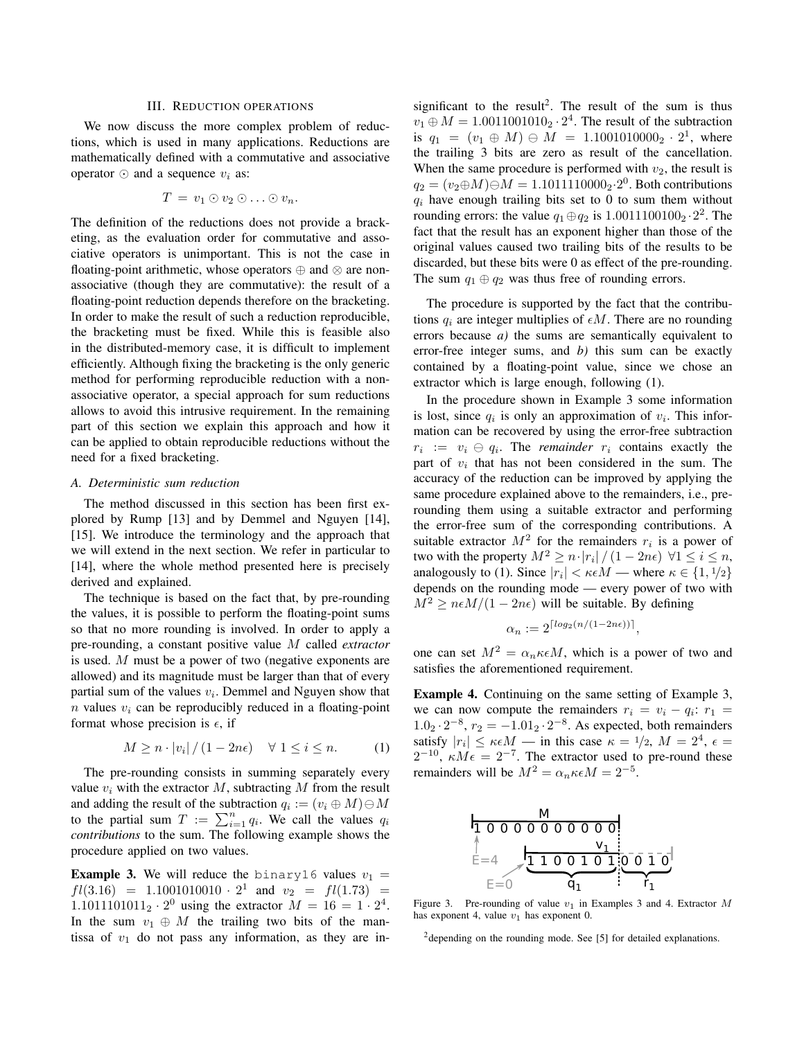#### III. REDUCTION OPERATIONS

We now discuss the more complex problem of reductions, which is used in many applications. Reductions are mathematically defined with a commutative and associative operator  $\odot$  and a sequence  $v_i$  as:

$$
T = v_1 \odot v_2 \odot \ldots \odot v_n.
$$

The definition of the reductions does not provide a bracketing, as the evaluation order for commutative and associative operators is unimportant. This is not the case in floating-point arithmetic, whose operators  $\oplus$  and  $\otimes$  are nonassociative (though they are commutative): the result of a floating-point reduction depends therefore on the bracketing. In order to make the result of such a reduction reproducible, the bracketing must be fixed. While this is feasible also in the distributed-memory case, it is difficult to implement efficiently. Although fixing the bracketing is the only generic method for performing reproducible reduction with a nonassociative operator, a special approach for sum reductions allows to avoid this intrusive requirement. In the remaining part of this section we explain this approach and how it can be applied to obtain reproducible reductions without the need for a fixed bracketing.

# *A. Deterministic sum reduction*

The method discussed in this section has been first explored by Rump [13] and by Demmel and Nguyen [14], [15]. We introduce the terminology and the approach that we will extend in the next section. We refer in particular to [14], where the whole method presented here is precisely derived and explained.

The technique is based on the fact that, by pre-rounding the values, it is possible to perform the floating-point sums so that no more rounding is involved. In order to apply a pre-rounding, a constant positive value M called *extractor* is used. M must be a power of two (negative exponents are allowed) and its magnitude must be larger than that of every partial sum of the values  $v_i$ . Demmel and Nguyen show that  $n$  values  $v_i$  can be reproducibly reduced in a floating-point format whose precision is  $\epsilon$ , if

$$
M \ge n \cdot |v_i| / (1 - 2n\epsilon) \quad \forall \ 1 \le i \le n. \tag{1}
$$

The pre-rounding consists in summing separately every value  $v_i$  with the extractor M, subtracting M from the result and adding the result of the subtraction  $q_i := (v_i \oplus M) \ominus M$ to the partial sum  $T := \sum_{i=1}^n q_i$ . We call the values  $q_i$ *contributions* to the sum. The following example shows the procedure applied on two values.

**Example 3.** We will reduce the binary16 values  $v_1$  =  $fl(3.16) = 1.1001010010 \cdot 2^1$  and  $v_2 = fl(1.73) =$ 1.1011101011<sub>2</sub> · 2<sup>0</sup> using the extractor  $M = 16 = 1 \cdot 2^4$ . In the sum  $v_1 \oplus M$  the trailing two bits of the mantissa of  $v_1$  do not pass any information, as they are in-

significant to the result<sup>2</sup>. The result of the sum is thus  $v_1 \oplus M = 1.0011001010_2 \cdot 2^4$ . The result of the subtraction is  $q_1 = (v_1 \oplus M) \oplus M = 1.1001010000_2 \cdot 2^1$ , where the trailing 3 bits are zero as result of the cancellation. When the same procedure is performed with  $v_2$ , the result is  $q_2 = (v_2 \oplus M) \oplus M = 1.1011110000_2 \cdot 2^0$ . Both contributions  $q_i$  have enough trailing bits set to 0 to sum them without rounding errors: the value  $q_1 \oplus q_2$  is  $1.0011100100_2 \cdot 2^2$ . The fact that the result has an exponent higher than those of the original values caused two trailing bits of the results to be discarded, but these bits were 0 as effect of the pre-rounding. The sum  $q_1 \oplus q_2$  was thus free of rounding errors.

The procedure is supported by the fact that the contributions  $q_i$  are integer multiplies of  $\epsilon M$ . There are no rounding errors because *a)* the sums are semantically equivalent to error-free integer sums, and *b)* this sum can be exactly contained by a floating-point value, since we chose an extractor which is large enough, following (1).

In the procedure shown in Example 3 some information is lost, since  $q_i$  is only an approximation of  $v_i$ . This information can be recovered by using the error-free subtraction  $r_i := v_i \oplus q_i$ . The *remainder*  $r_i$  contains exactly the part of  $v_i$  that has not been considered in the sum. The accuracy of the reduction can be improved by applying the same procedure explained above to the remainders, i.e., prerounding them using a suitable extractor and performing the error-free sum of the corresponding contributions. A suitable extractor  $M^2$  for the remainders  $r_i$  is a power of two with the property  $M^2 \geq n \cdot |r_i| / (1 - 2n\epsilon) \ \forall 1 \leq i \leq n$ , analogously to (1). Since  $|r_i| < \kappa \epsilon M$  — where  $\kappa \in \{1, 1/2\}$ depends on the rounding mode — every power of two with  $M^2 \geq n \epsilon M/(1 - 2n \epsilon)$  will be suitable. By defining

$$
\alpha_n := 2^{\lceil \log_2(n/(1-2n\epsilon)) \rceil},
$$

one can set  $M^2 = \alpha_n \kappa \epsilon M$ , which is a power of two and satisfies the aforementioned requirement.

Example 4. Continuing on the same setting of Example 3, we can now compute the remainders  $r_i = v_i - q_i$ :  $r_1$  $1.0_2 \cdot 2^{-8}$ ,  $r_2 = -1.01_2 \cdot 2^{-8}$ . As expected, both remainders satisfy  $|r_i| \leq \kappa \epsilon M$  — in this case  $\kappa = 1/2$ ,  $M = 2^4$ ,  $\epsilon =$  $2^{-10}$ ,  $\kappa M \epsilon = 2^{-7}$ . The extractor used to pre-round these remainders will be  $M^2 = \alpha_n \kappa \epsilon M = 2^{-5}$ .

$$
\begin{array}{c|c|c} & M & \multicolumn{3}{|c|}{M} \\ \hline 1 & 0 & 0 & 0 & 0 & 0 & 0 & 0 & 0 \\ \hline \hline 1 & 1 & 0 & 0 & 1 & 0 & 1 & 0 & 0 \\ \hline E=0 & & & q_1 & & & & r_1 \\ \end{array}
$$

Figure 3. Pre-rounding of value  $v_1$  in Examples 3 and 4. Extractor M has exponent 4, value  $v_1$  has exponent 0.

<sup>2</sup>depending on the rounding mode. See [5] for detailed explanations.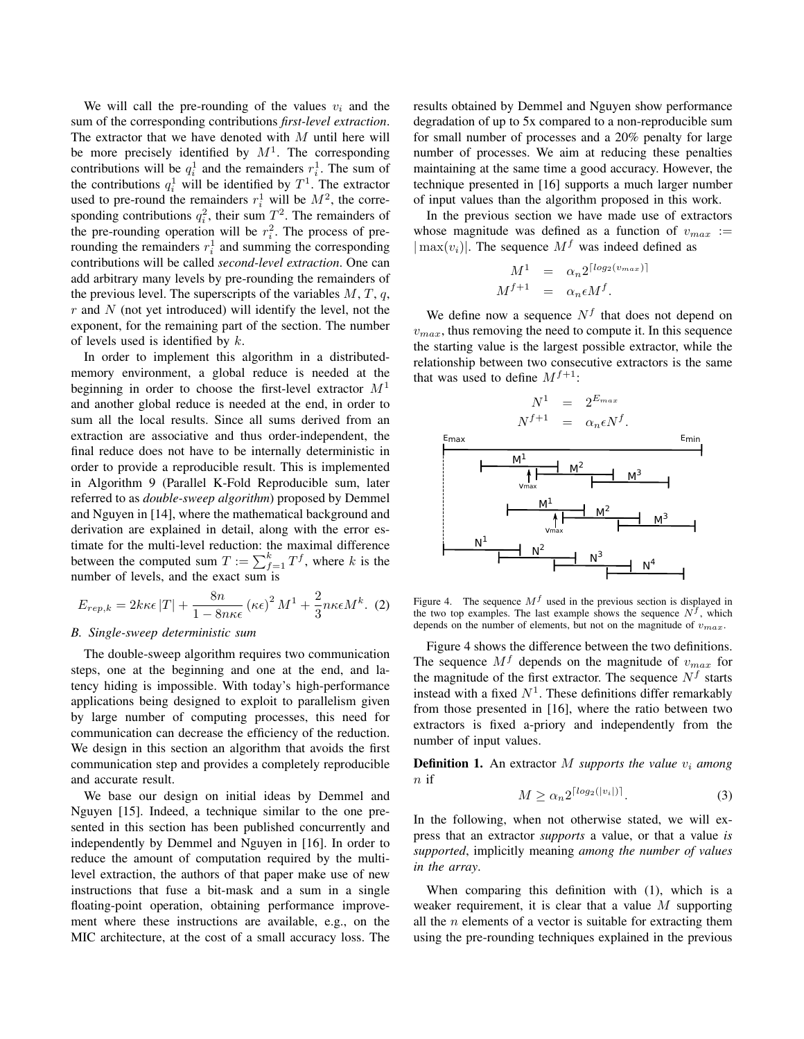We will call the pre-rounding of the values  $v_i$  and the sum of the corresponding contributions *first-level extraction*. The extractor that we have denoted with M until here will be more precisely identified by  $M<sup>1</sup>$ . The corresponding contributions will be  $q_i^1$  and the remainders  $r_i^1$ . The sum of the contributions  $q_i^1$  will be identified by  $T^1$ . The extractor used to pre-round the remainders  $r_i^1$  will be  $M^2$ , the corresponding contributions  $q_i^2$ , their sum  $T^2$ . The remainders of the pre-rounding operation will be  $r_i^2$ . The process of prerounding the remainders  $r_i^1$  and summing the corresponding contributions will be called *second-level extraction*. One can add arbitrary many levels by pre-rounding the remainders of the previous level. The superscripts of the variables  $M, T, q$ ,  $r$  and  $N$  (not yet introduced) will identify the level, not the exponent, for the remaining part of the section. The number of levels used is identified by  $k$ .

In order to implement this algorithm in a distributedmemory environment, a global reduce is needed at the beginning in order to choose the first-level extractor  $M<sup>1</sup>$ and another global reduce is needed at the end, in order to sum all the local results. Since all sums derived from an extraction are associative and thus order-independent, the final reduce does not have to be internally deterministic in order to provide a reproducible result. This is implemented in Algorithm 9 (Parallel K-Fold Reproducible sum, later referred to as *double-sweep algorithm*) proposed by Demmel and Nguyen in [14], where the mathematical background and derivation are explained in detail, along with the error estimate for the multi-level reduction: the maximal difference between the computed sum  $T := \sum_{f=1}^{k} T^f$ , where k is the number of levels, and the exact sum is

$$
E_{rep,k} = 2k\kappa\epsilon \left|T\right| + \frac{8n}{1 - 8n\kappa\epsilon} \left(\kappa\epsilon\right)^2 M^1 + \frac{2}{3} n\kappa\epsilon M^k. \tag{2}
$$

# *B. Single-sweep deterministic sum*

The double-sweep algorithm requires two communication steps, one at the beginning and one at the end, and latency hiding is impossible. With today's high-performance applications being designed to exploit to parallelism given by large number of computing processes, this need for communication can decrease the efficiency of the reduction. We design in this section an algorithm that avoids the first communication step and provides a completely reproducible and accurate result.

We base our design on initial ideas by Demmel and Nguyen [15]. Indeed, a technique similar to the one presented in this section has been published concurrently and independently by Demmel and Nguyen in [16]. In order to reduce the amount of computation required by the multilevel extraction, the authors of that paper make use of new instructions that fuse a bit-mask and a sum in a single floating-point operation, obtaining performance improvement where these instructions are available, e.g., on the MIC architecture, at the cost of a small accuracy loss. The results obtained by Demmel and Nguyen show performance degradation of up to 5x compared to a non-reproducible sum for small number of processes and a 20% penalty for large number of processes. We aim at reducing these penalties maintaining at the same time a good accuracy. However, the technique presented in [16] supports a much larger number of input values than the algorithm proposed in this work.

In the previous section we have made use of extractors whose magnitude was defined as a function of  $v_{max}$  :=  $|\max(v_i)|$ . The sequence  $M<sup>f</sup>$  was indeed defined as

$$
M^{1} = \alpha_n 2^{\lceil \log_2(v_{max}) \rceil}
$$

$$
M^{f+1} = \alpha_n \epsilon M^f.
$$

We define now a sequence  $N<sup>f</sup>$  that does not depend on  $v_{max}$ , thus removing the need to compute it. In this sequence the starting value is the largest possible extractor, while the relationship between two consecutive extractors is the same that was used to define  $M^{f+1}$ :



Figure 4. The sequence  $M<sup>f</sup>$  used in the previous section is displayed in the two top examples. The last example shows the sequence  $N^f$ , which depends on the number of elements, but not on the magnitude of  $v_{max}$ .

Figure 4 shows the difference between the two definitions. The sequence  $M<sup>f</sup>$  depends on the magnitude of  $v_{max}$  for the magnitude of the first extractor. The sequence  $N<sup>f</sup>$  starts instead with a fixed  $N^1$ . These definitions differ remarkably from those presented in [16], where the ratio between two extractors is fixed a-priory and independently from the number of input values.

**Definition 1.** An extractor  $M$  *supports the value*  $v_i$  *among*  $n$  if

$$
M \ge \alpha_n 2^{\lceil \log_2(|v_i|) \rceil}.\tag{3}
$$

In the following, when not otherwise stated, we will express that an extractor *supports* a value, or that a value *is supported*, implicitly meaning *among the number of values in the array*.

When comparing this definition with (1), which is a weaker requirement, it is clear that a value M supporting all the  $n$  elements of a vector is suitable for extracting them using the pre-rounding techniques explained in the previous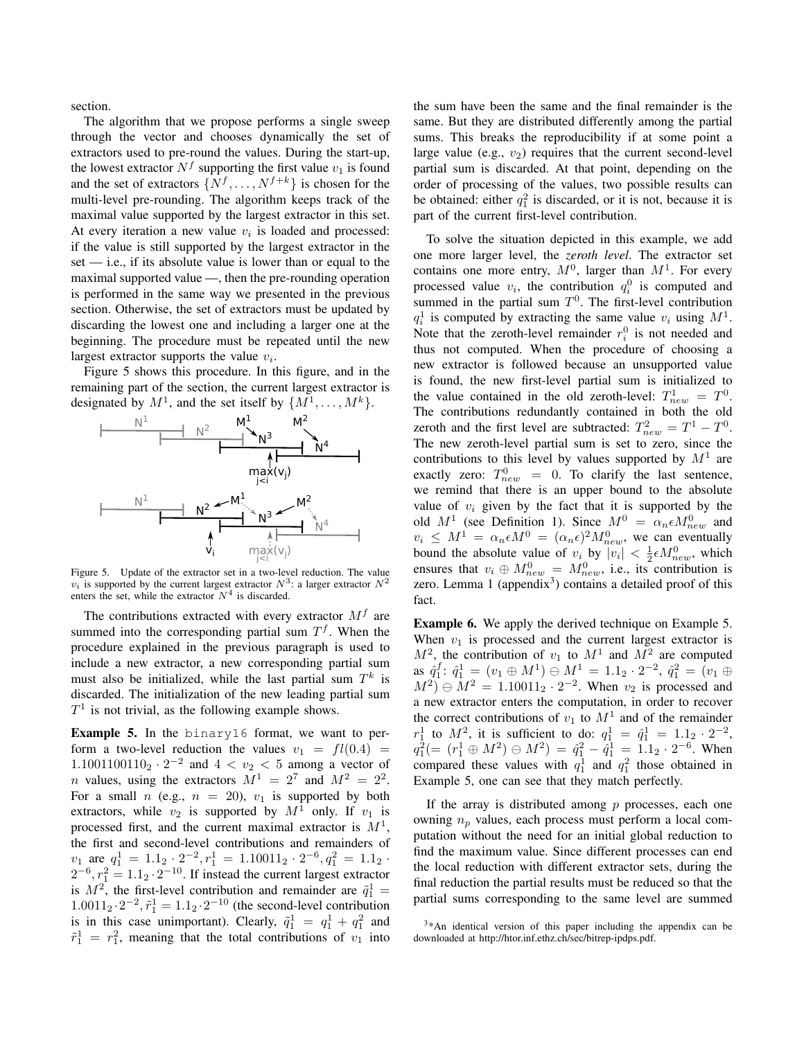section.

The algorithm that we propose performs a single sweep through the vector and chooses dynamically the set of extractors used to pre-round the values. During the start-up, the lowest extractor  $N<sup>f</sup>$  supporting the first value  $v<sub>1</sub>$  is found and the set of extractors  $\{N^f, \ldots, N^{f+k}\}\$ is chosen for the multi-level pre-rounding. The algorithm keeps track of the maximal value supported by the largest extractor in this set. At every iteration a new value  $v_i$  is loaded and processed: if the value is still supported by the largest extractor in the  $set$  — i.e., if its absolute value is lower than or equal to the maximal supported value —, then the pre-rounding operation is performed in the same way we presented in the previous section. Otherwise, the set of extractors must be updated by discarding the lowest one and including a larger one at the beginning. The procedure must be repeated until the new largest extractor supports the value  $v_i$ .

Figure 5 shows this procedure. In this figure, and in the remaining part of the section, the current largest extractor is designated by  $M^1$ , and the set itself by  $\{M^1, \ldots, M^k\}$ .



Figure 5. Update of the extractor set in a two-level reduction. The value  $v_i$  is supported by the current largest extractor  $N^3$ : a larger extractor  $N^2$ enters the set, while the extractor  $N<sup>4</sup>$  is discarded.

The contributions extracted with every extractor  $M<sup>f</sup>$  are summed into the corresponding partial sum  $T<sup>f</sup>$ . When the procedure explained in the previous paragraph is used to include a new extractor, a new corresponding partial sum must also be initialized, while the last partial sum  $T<sup>k</sup>$  is discarded. The initialization of the new leading partial sum  $T<sup>1</sup>$  is not trivial, as the following example shows.

Example 5. In the binary16 format, we want to perform a two-level reduction the values  $v_1 = fl(0.4)$ 1.1001100110<sub>2</sub> · 2<sup>-2</sup> and 4 <  $v_2$  < 5 among a vector of *n* values, using the extractors  $M^1 = 2^7$  and  $M^2 = 2^2$ . For a small n (e.g.,  $n = 20$ ),  $v_1$  is supported by both extractors, while  $v_2$  is supported by  $M<sup>1</sup>$  only. If  $v_1$  is processed first, and the current maximal extractor is  $M<sup>1</sup>$ , the first and second-level contributions and remainders of  $v_1$  are  $q_1^1 = 1.1_2 \cdot 2^{-2}, r_1^1 = 1.10011_2 \cdot 2^{-6}, q_1^2 = 1.1_2 \cdot$  $2^{-6}$ ,  $r_1^2 = 1.1_2 \cdot 2^{-10}$ . If instead the current largest extractor is  $M^2$ , the first-level contribution and remainder are  $\tilde{q}_1^1$  =  $1.0011_2 \cdot 2^{-2}$ ,  $\tilde{r}_1^1 = 1.1_2 \cdot 2^{-10}$  (the second-level contribution is in this case unimportant). Clearly,  $\tilde{q}_1^1 = q_1^1 + q_1^2$  and  $\tilde{r}_1^1 = r_1^2$ , meaning that the total contributions of  $v_1$  into

the sum have been the same and the final remainder is the same. But they are distributed differently among the partial sums. This breaks the reproducibility if at some point a large value (e.g.,  $v_2$ ) requires that the current second-level partial sum is discarded. At that point, depending on the order of processing of the values, two possible results can be obtained: either  $q_1^2$  is discarded, or it is not, because it is part of the current first-level contribution.

To solve the situation depicted in this example, we add one more larger level, the *zeroth level*. The extractor set contains one more entry,  $M^0$ , larger than  $M^1$ . For every processed value  $v_i$ , the contribution  $q_i^0$  is computed and summed in the partial sum  $T^0$ . The first-level contribution  $q_i^1$  is computed by extracting the same value  $v_i$  using  $M^1$ . Note that the zeroth-level remainder  $r_i^0$  is not needed and thus not computed. When the procedure of choosing a new extractor is followed because an unsupported value is found, the new first-level partial sum is initialized to the value contained in the old zeroth-level:  $T_{new}^1 = T^0$ . The contributions redundantly contained in both the old zeroth and the first level are subtracted:  $T_{new}^2 = T^1 - T^0$ . The new zeroth-level partial sum is set to zero, since the contributions to this level by values supported by  $M<sup>1</sup>$  are exactly zero:  $T_{new}^0 = 0$ . To clarify the last sentence, we remind that there is an upper bound to the absolute value of  $v_i$  given by the fact that it is supported by the old  $M^1$  (see Definition 1). Since  $M^0 = \alpha_n \epsilon M_{new}^0$  and  $v_i \leq M^1 = \alpha_n \epsilon M^0 = (\alpha_n \epsilon)^2 M_{new}^0$ , we can eventually bound the absolute value of  $v_i$  by  $|v_i| < \frac{1}{2} \epsilon M_{new}^0$ , which ensures that  $v_i \oplus M_{new}^0 = M_{new}^0$ , i.e., its contribution is zero. Lemma  $1$  (appendix<sup>3</sup>) contains a detailed proof of this fact.

Example 6. We apply the derived technique on Example 5. When  $v_1$  is processed and the current largest extractor is  $M^2$ , the contribution of  $v_1$  to  $M^1$  and  $M^2$  are computed as  $\hat{q}_1^f$ :  $\hat{q}_1^1 = (v_1 \oplus M^1) \oplus M^1 = 1.1_2 \cdot 2^{-2}$ ,  $\hat{q}_1^2 = (v_1 \oplus$  $(M^2) \oplus M^2 = 1.10011_2 \cdot 2^{-2}$ . When  $v_2$  is processed and a new extractor enters the computation, in order to recover the correct contributions of  $v_1$  to  $M<sup>1</sup>$  and of the remainder  $r_1^1$  to  $M^2$ , it is sufficient to do:  $q_1^1 = \hat{q}_1^1 = 1.1_2 \cdot 2^{-2}$ ,  $q_1^2 (= (r_1^1 \oplus M^2) \oplus M^2) = \hat{q}_1^2 - \hat{q}_1^1 = 1.1_2 \cdot 2^{-6}$ . When compared these values with  $q_1^1$  and  $q_1^2$  those obtained in Example 5, one can see that they match perfectly.

If the array is distributed among  $p$  processes, each one owning  $n_p$  values, each process must perform a local computation without the need for an initial global reduction to find the maximum value. Since different processes can end the local reduction with different extractor sets, during the final reduction the partial results must be reduced so that the partial sums corresponding to the same level are summed

<sup>3</sup>\*An identical version of this paper including the appendix can be downloaded at http://htor.inf.ethz.ch/sec/bitrep-ipdps.pdf.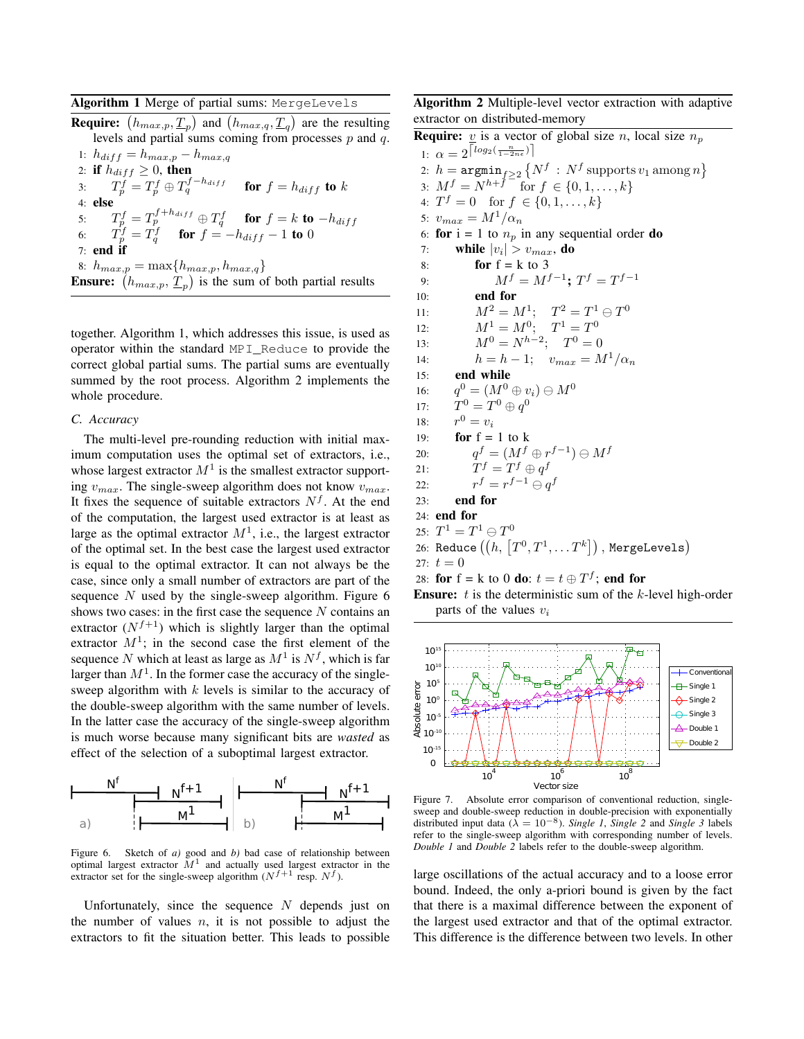# Algorithm 1 Merge of partial sums: MergeLevels

**Require:**  $(h_{max,p}, \underline{T}_p)$  and  $(h_{max,q}, \underline{T}_q)$  are the resulting levels and partial sums coming from processes  $p$  and  $q$ .

1:  $h_{diff} = h_{max,p} - h_{max,q}$ 2: if  $h_{diff} \geq 0$ , then 3:  $T_p^f = T_p^f \oplus T_q^{f-h_{diff}}$  for  $f = h_{diff}$  to k 4: else 5:  $T_p^f = T_p^{f + h_{diff}} \oplus T_q^f$  for  $f = k$  to  $-h_{diff}$ 6:  $T_p^f = T_q^f$  for  $f = -h_{diff} - 1$  to 0  $7<sub>·</sub>$  end if 8:  $h_{max,p} = \max\{h_{max,p}, h_{max,q}\}$ **Ensure:**  $(h_{max,p}, \underline{T}_p)$  is the sum of both partial results

together. Algorithm 1, which addresses this issue, is used as operator within the standard MPI\_Reduce to provide the correct global partial sums. The partial sums are eventually summed by the root process. Algorithm 2 implements the whole procedure.

# *C. Accuracy*

The multi-level pre-rounding reduction with initial maximum computation uses the optimal set of extractors, i.e., whose largest extractor  $M<sup>1</sup>$  is the smallest extractor supporting  $v_{max}$ . The single-sweep algorithm does not know  $v_{max}$ . It fixes the sequence of suitable extractors  $N<sup>f</sup>$ . At the end of the computation, the largest used extractor is at least as large as the optimal extractor  $M<sup>1</sup>$ , i.e., the largest extractor of the optimal set. In the best case the largest used extractor is equal to the optimal extractor. It can not always be the case, since only a small number of extractors are part of the sequence  $N$  used by the single-sweep algorithm. Figure 6 shows two cases: in the first case the sequence  $N$  contains an extractor  $(N^{f+1})$  which is slightly larger than the optimal extractor  $M<sup>1</sup>$ ; in the second case the first element of the sequence N which at least as large as  $M^1$  is  $N^f$ , which is far larger than  $M<sup>1</sup>$ . In the former case the accuracy of the singlesweep algorithm with  $k$  levels is similar to the accuracy of the double-sweep algorithm with the same number of levels. In the latter case the accuracy of the single-sweep algorithm is much worse because many significant bits are *wasted* as effect of the selection of a suboptimal largest extractor.



Figure 6. Sketch of *a)* good and *b)* bad case of relationship between optimal largest extractor  $M<sup>1</sup>$  and actually used largest extractor in the extractor set for the single-sweep algorithm  $(N^{f+1}$  resp.  $N^f$ ).

Unfortunately, since the sequence  $N$  depends just on the number of values  $n$ , it is not possible to adjust the extractors to fit the situation better. This leads to possible

Algorithm 2 Multiple-level vector extraction with adaptive extractor on distributed-memory

**Require:** <u>v</u> is a vector of global size n<sub>p</sub> local size  $n_p$ 1:  $\alpha = 2^{\lceil log_2(\frac{n}{1-2n\epsilon}) \rceil}$ 2:  $h = \operatorname{argmin}_{f \geq 2} \left\{ N^f \,:\, N^f \operatorname{supports} v_1 \operatorname{among} n \right\}$ 3:  $M^f = N^{h+f}$  for  $f \in \{0,1,\ldots,k\}$ 4:  $T^f = 0$  for  $f \in \{0, 1, ..., k\}$ 5:  $v_{max} = M^1/\alpha_n$ 6: for i = 1 to  $n_p$  in any sequential order do 7: **while**  $|v_i| > v_{max}$ , do 8: **for**  $f = k$  to 3 9:  $M^f = M^{f-1}$ ;  $T^f = T^{f-1}$ 10: end for 11:  $M^2 = M^1; T^2 = T^1 \oplus T^0$ 12:  $M^1 = M^0; T^1 = T^0$ 13:  $M^0 = N^{h-2}$ ;  $T^0 = 0$ 14:  $h = h - 1; \quad v_{max} = M^1/\alpha_n$ 15: end while  $16:$  $\Omega^0 = (M^0 \oplus v_i) \ominus M^0$  $17:$  $^{0} = T^{0} \oplus q^{0}$  $18:$  $r^0 = v_i$ 19: **for**  $f = 1$  to k  $20:$  $f=(M^f\oplus r^{f-1})\ominus M^f$ 21:  $T^f = T^f \oplus q^f$ 22:  $r^f = r^{f-1} \ominus q^f$ 23: end for 24: end for 25:  $T^1 = T^1 \ominus T^0$ 26: Reduce  $\left( \left( h, \, \left[T^0,T^1,\ldots T^k\right]\right),$  MergeLevels $\right)$ 27:  $t = 0$ 28: for  $f = k$  to 0 do:  $t = t \oplus T^f$ ; end for **Ensure:**  $t$  is the deterministic sum of the  $k$ -level high-order parts of the values  $v_i$ 



Figure 7. Absolute error comparison of conventional reduction, singlesweep and double-sweep reduction in double-precision with exponentially distributed input data ( $\lambda = 10^{-8}$ ). *Single 1*, *Single 2* and *Single 3* labels refer to the single-sweep algorithm with corresponding number of levels. *Double 1* and *Double 2* labels refer to the double-sweep algorithm.

large oscillations of the actual accuracy and to a loose error bound. Indeed, the only a-priori bound is given by the fact that there is a maximal difference between the exponent of the largest used extractor and that of the optimal extractor. This difference is the difference between two levels. In other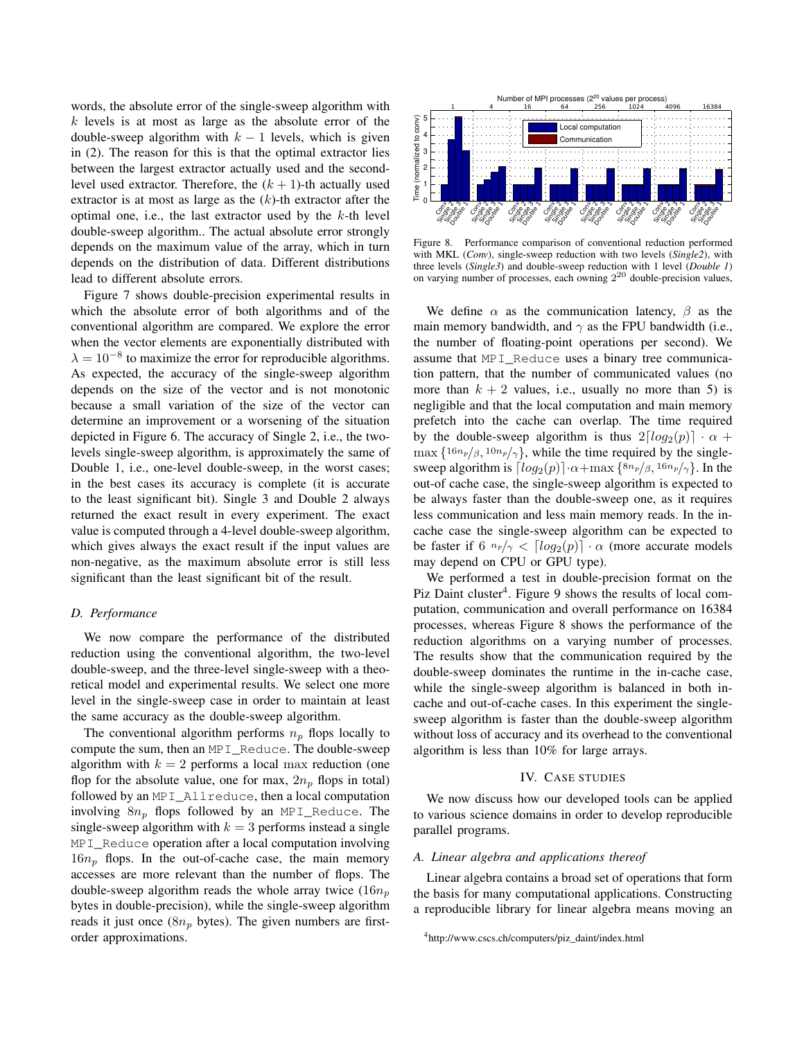words, the absolute error of the single-sweep algorithm with  $k$  levels is at most as large as the absolute error of the double-sweep algorithm with  $k - 1$  levels, which is given in (2). The reason for this is that the optimal extractor lies between the largest extractor actually used and the secondlevel used extractor. Therefore, the  $(k + 1)$ -th actually used extractor is at most as large as the  $(k)$ -th extractor after the optimal one, i.e., the last extractor used by the  $k$ -th level double-sweep algorithm.. The actual absolute error strongly depends on the maximum value of the array, which in turn depends on the distribution of data. Different distributions lead to different absolute errors.

Figure 7 shows double-precision experimental results in which the absolute error of both algorithms and of the conventional algorithm are compared. We explore the error when the vector elements are exponentially distributed with  $\lambda = 10^{-8}$  to maximize the error for reproducible algorithms. As expected, the accuracy of the single-sweep algorithm depends on the size of the vector and is not monotonic because a small variation of the size of the vector can determine an improvement or a worsening of the situation depicted in Figure 6. The accuracy of Single 2, i.e., the twolevels single-sweep algorithm, is approximately the same of Double 1, i.e., one-level double-sweep, in the worst cases; in the best cases its accuracy is complete (it is accurate to the least significant bit). Single 3 and Double 2 always returned the exact result in every experiment. The exact value is computed through a 4-level double-sweep algorithm, which gives always the exact result if the input values are non-negative, as the maximum absolute error is still less significant than the least significant bit of the result.

# *D. Performance*

We now compare the performance of the distributed reduction using the conventional algorithm, the two-level double-sweep, and the three-level single-sweep with a theoretical model and experimental results. We select one more level in the single-sweep case in order to maintain at least the same accuracy as the double-sweep algorithm.

The conventional algorithm performs  $n_p$  flops locally to compute the sum, then an MPI\_Reduce. The double-sweep algorithm with  $k = 2$  performs a local max reduction (one flop for the absolute value, one for max,  $2n_p$  flops in total) followed by an MPI\_Allreduce, then a local computation involving  $8n_p$  flops followed by an MPI\_Reduce. The single-sweep algorithm with  $k = 3$  performs instead a single MPI\_Reduce operation after a local computation involving  $16n_p$  flops. In the out-of-cache case, the main memory accesses are more relevant than the number of flops. The double-sweep algorithm reads the whole array twice  $(16n_n)$ bytes in double-precision), while the single-sweep algorithm reads it just once  $(8n_p)$  bytes). The given numbers are firstorder approximations.



Figure 8. Performance comparison of conventional reduction performed with MKL (*Conv*), single-sweep reduction with two levels (*Single2*), with three levels (*Single3*) and double-sweep reduction with 1 level (*Double 1*) on varying number of processes, each owning  $2^{20}$  double-precision values,

We define  $\alpha$  as the communication latency,  $\beta$  as the main memory bandwidth, and  $\gamma$  as the FPU bandwidth (i.e., the number of floating-point operations per second). We assume that MPI\_Reduce uses a binary tree communication pattern, that the number of communicated values (no more than  $k + 2$  values, i.e., usually no more than 5) is negligible and that the local computation and main memory prefetch into the cache can overlap. The time required by the double-sweep algorithm is thus  $2\lceil log_2(p)\rceil \cdot \alpha +$  $\max\{16n_p/\beta, 10n_p/\gamma\}$ , while the time required by the singlesweep algorithm is  $\lceil log_2(p) \rceil \cdot \alpha + \max \{8n_p/\beta, 16n_p/\gamma\}$ . In the out-of cache case, the single-sweep algorithm is expected to be always faster than the double-sweep one, as it requires less communication and less main memory reads. In the incache case the single-sweep algorithm can be expected to be faster if 6  $n_p/\gamma < \lceil log_2(p) \rceil \cdot \alpha$  (more accurate models may depend on CPU or GPU type).

We performed a test in double-precision format on the Piz Daint cluster<sup>4</sup>. Figure 9 shows the results of local computation, communication and overall performance on 16384 processes, whereas Figure 8 shows the performance of the reduction algorithms on a varying number of processes. The results show that the communication required by the double-sweep dominates the runtime in the in-cache case, while the single-sweep algorithm is balanced in both incache and out-of-cache cases. In this experiment the singlesweep algorithm is faster than the double-sweep algorithm without loss of accuracy and its overhead to the conventional algorithm is less than 10% for large arrays.

# IV. CASE STUDIES

We now discuss how our developed tools can be applied to various science domains in order to develop reproducible parallel programs.

### *A. Linear algebra and applications thereof*

Linear algebra contains a broad set of operations that form the basis for many computational applications. Constructing a reproducible library for linear algebra means moving an

<sup>4</sup>http://www.cscs.ch/computers/piz\_daint/index.html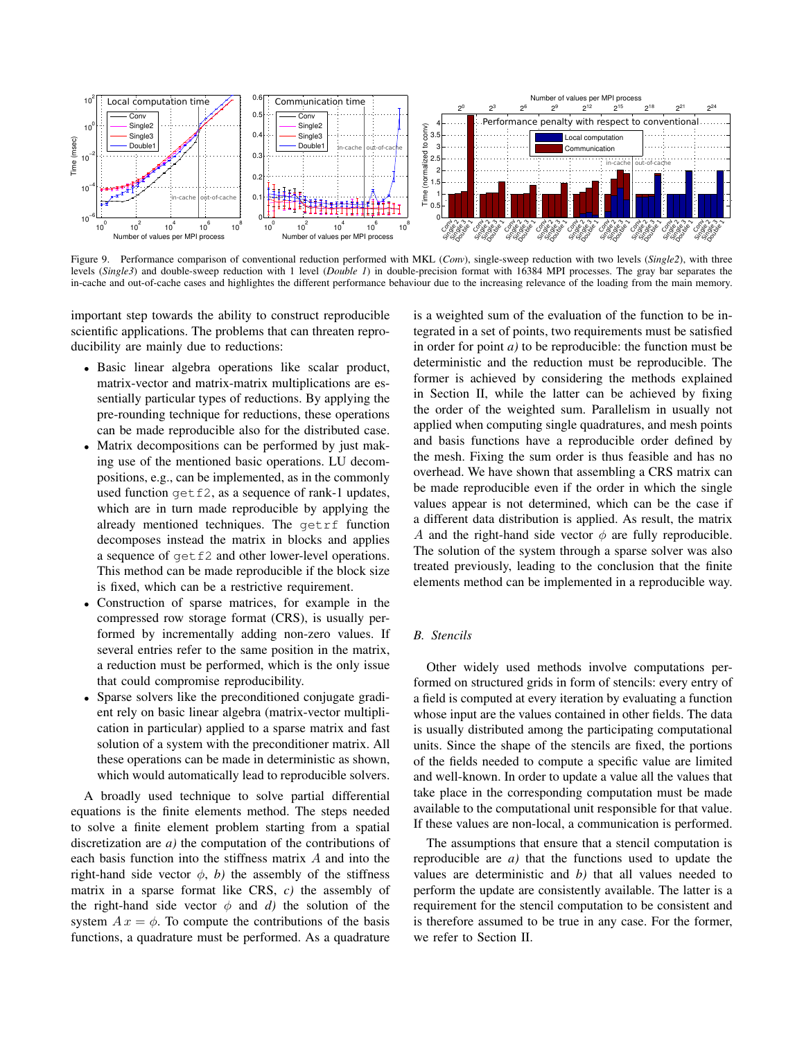

Figure 9. Performance comparison of conventional reduction performed with MKL (*Conv*), single-sweep reduction with two levels (*Single2*), with three levels (*Single3*) and double-sweep reduction with 1 level (*Double 1*) in double-precision format with 16384 MPI processes. The gray bar separates the in-cache and out-of-cache cases and highlightes the different performance behaviour due to the increasing relevance of the loading from the main memory.

important step towards the ability to construct reproducible scientific applications. The problems that can threaten reproducibility are mainly due to reductions:

- Basic linear algebra operations like scalar product, matrix-vector and matrix-matrix multiplications are essentially particular types of reductions. By applying the pre-rounding technique for reductions, these operations can be made reproducible also for the distributed case.
- Matrix decompositions can be performed by just making use of the mentioned basic operations. LU decompositions, e.g., can be implemented, as in the commonly used function  $qetf2$ , as a sequence of rank-1 updates, which are in turn made reproducible by applying the already mentioned techniques. The getrf function decomposes instead the matrix in blocks and applies a sequence of getf2 and other lower-level operations. This method can be made reproducible if the block size is fixed, which can be a restrictive requirement.
- Construction of sparse matrices, for example in the compressed row storage format (CRS), is usually performed by incrementally adding non-zero values. If several entries refer to the same position in the matrix, a reduction must be performed, which is the only issue that could compromise reproducibility.
- Sparse solvers like the preconditioned conjugate gradient rely on basic linear algebra (matrix-vector multiplication in particular) applied to a sparse matrix and fast solution of a system with the preconditioner matrix. All these operations can be made in deterministic as shown, which would automatically lead to reproducible solvers.

A broadly used technique to solve partial differential equations is the finite elements method. The steps needed to solve a finite element problem starting from a spatial discretization are *a)* the computation of the contributions of each basis function into the stiffness matrix A and into the right-hand side vector  $\phi$ , *b*) the assembly of the stiffness matrix in a sparse format like CRS, *c)* the assembly of the right-hand side vector  $\phi$  and *d*) the solution of the system  $Ax = \phi$ . To compute the contributions of the basis functions, a quadrature must be performed. As a quadrature is a weighted sum of the evaluation of the function to be integrated in a set of points, two requirements must be satisfied in order for point *a)* to be reproducible: the function must be deterministic and the reduction must be reproducible. The former is achieved by considering the methods explained in Section II, while the latter can be achieved by fixing the order of the weighted sum. Parallelism in usually not applied when computing single quadratures, and mesh points and basis functions have a reproducible order defined by the mesh. Fixing the sum order is thus feasible and has no overhead. We have shown that assembling a CRS matrix can be made reproducible even if the order in which the single values appear is not determined, which can be the case if a different data distribution is applied. As result, the matrix A and the right-hand side vector  $\phi$  are fully reproducible. The solution of the system through a sparse solver was also treated previously, leading to the conclusion that the finite elements method can be implemented in a reproducible way.

# *B. Stencils*

Other widely used methods involve computations performed on structured grids in form of stencils: every entry of a field is computed at every iteration by evaluating a function whose input are the values contained in other fields. The data is usually distributed among the participating computational units. Since the shape of the stencils are fixed, the portions of the fields needed to compute a specific value are limited and well-known. In order to update a value all the values that take place in the corresponding computation must be made available to the computational unit responsible for that value. If these values are non-local, a communication is performed.

The assumptions that ensure that a stencil computation is reproducible are *a)* that the functions used to update the values are deterministic and *b)* that all values needed to perform the update are consistently available. The latter is a requirement for the stencil computation to be consistent and is therefore assumed to be true in any case. For the former, we refer to Section II.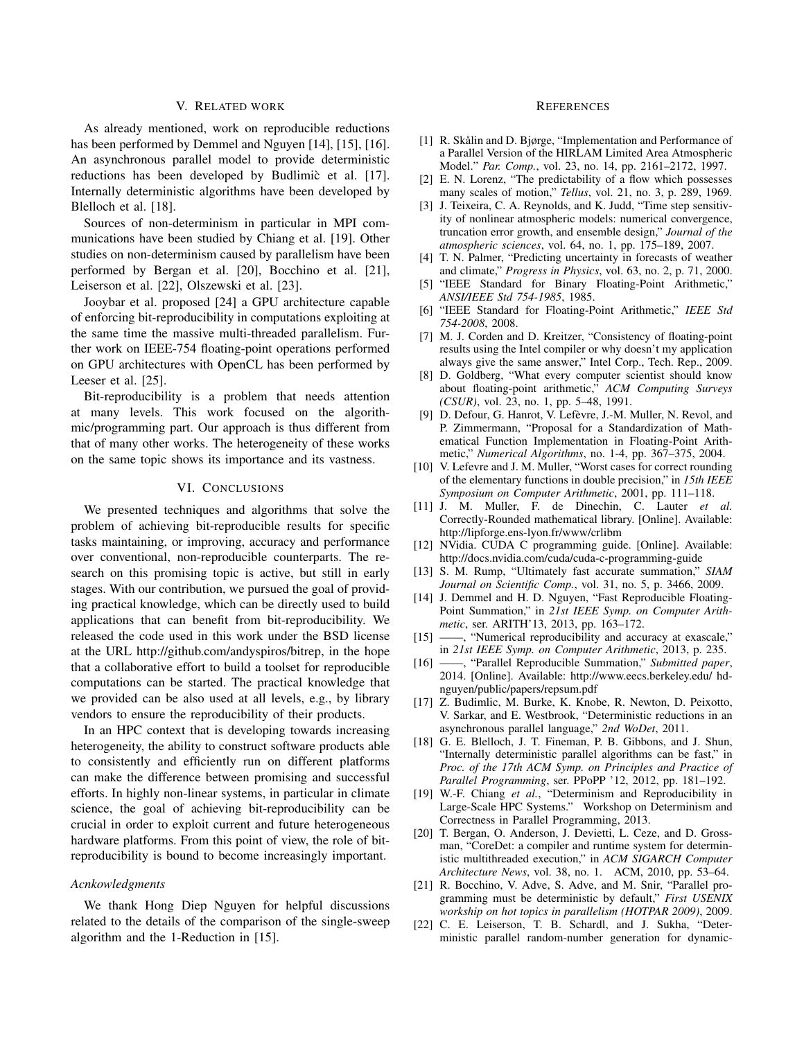# V. RELATED WORK

As already mentioned, work on reproducible reductions has been performed by Demmel and Nguyen [14], [15], [16]. An asynchronous parallel model to provide deterministic reductions has been developed by Budlimic et al. [17]. Internally deterministic algorithms have been developed by Blelloch et al. [18].

Sources of non-determinism in particular in MPI communications have been studied by Chiang et al. [19]. Other studies on non-determinism caused by parallelism have been performed by Bergan et al. [20], Bocchino et al. [21], Leiserson et al. [22], Olszewski et al. [23].

Jooybar et al. proposed [24] a GPU architecture capable of enforcing bit-reproducibility in computations exploiting at the same time the massive multi-threaded parallelism. Further work on IEEE-754 floating-point operations performed on GPU architectures with OpenCL has been performed by Leeser et al. [25].

Bit-reproducibility is a problem that needs attention at many levels. This work focused on the algorithmic/programming part. Our approach is thus different from that of many other works. The heterogeneity of these works on the same topic shows its importance and its vastness.

### VI. CONCLUSIONS

We presented techniques and algorithms that solve the problem of achieving bit-reproducible results for specific tasks maintaining, or improving, accuracy and performance over conventional, non-reproducible counterparts. The research on this promising topic is active, but still in early stages. With our contribution, we pursued the goal of providing practical knowledge, which can be directly used to build applications that can benefit from bit-reproducibility. We released the code used in this work under the BSD license at the URL http://github.com/andyspiros/bitrep, in the hope that a collaborative effort to build a toolset for reproducible computations can be started. The practical knowledge that we provided can be also used at all levels, e.g., by library vendors to ensure the reproducibility of their products.

In an HPC context that is developing towards increasing heterogeneity, the ability to construct software products able to consistently and efficiently run on different platforms can make the difference between promising and successful efforts. In highly non-linear systems, in particular in climate science, the goal of achieving bit-reproducibility can be crucial in order to exploit current and future heterogeneous hardware platforms. From this point of view, the role of bitreproducibility is bound to become increasingly important.

#### *Acnkowledgments*

We thank Hong Diep Nguyen for helpful discussions related to the details of the comparison of the single-sweep algorithm and the 1-Reduction in [15].

## **REFERENCES**

- [1] R. Skålin and D. Bjørge, "Implementation and Performance of a Parallel Version of the HIRLAM Limited Area Atmospheric Model." *Par. Comp.*, vol. 23, no. 14, pp. 2161–2172, 1997.
- [2] E. N. Lorenz, "The predictability of a flow which possesses many scales of motion," *Tellus*, vol. 21, no. 3, p. 289, 1969.
- [3] J. Teixeira, C. A. Reynolds, and K. Judd, "Time step sensitivity of nonlinear atmospheric models: numerical convergence, truncation error growth, and ensemble design," *Journal of the atmospheric sciences*, vol. 64, no. 1, pp. 175–189, 2007.
- [4] T. N. Palmer, "Predicting uncertainty in forecasts of weather and climate," *Progress in Physics*, vol. 63, no. 2, p. 71, 2000.
- [5] "IEEE Standard for Binary Floating-Point Arithmetic," *ANSI/IEEE Std 754-1985*, 1985.
- [6] "IEEE Standard for Floating-Point Arithmetic," *IEEE Std 754-2008*, 2008.
- [7] M. J. Corden and D. Kreitzer, "Consistency of floating-point results using the Intel compiler or why doesn't my application always give the same answer," Intel Corp., Tech. Rep., 2009.
- [8] D. Goldberg, "What every computer scientist should know about floating-point arithmetic," *ACM Computing Surveys (CSUR)*, vol. 23, no. 1, pp. 5–48, 1991.
- [9] D. Defour, G. Hanrot, V. Lefèvre, J.-M. Muller, N. Revol, and P. Zimmermann, "Proposal for a Standardization of Mathematical Function Implementation in Floating-Point Arithmetic," *Numerical Algorithms*, no. 1-4, pp. 367–375, 2004.
- [10] V. Lefevre and J. M. Muller, "Worst cases for correct rounding of the elementary functions in double precision," in *15th IEEE Symposium on Computer Arithmetic*, 2001, pp. 111–118.
- [11] J. M. Muller, F. de Dinechin, C. Lauter *et al.* Correctly-Rounded mathematical library. [Online]. Available: http://lipforge.ens-lyon.fr/www/crlibm
- [12] NVidia. CUDA C programming guide. [Online]. Available: http://docs.nvidia.com/cuda/cuda-c-programming-guide
- [13] S. M. Rump, "Ultimately fast accurate summation," *SIAM Journal on Scientific Comp.*, vol. 31, no. 5, p. 3466, 2009.
- [14] J. Demmel and H. D. Nguyen, "Fast Reproducible Floating-Point Summation," in *21st IEEE Symp. on Computer Arithmetic*, ser. ARITH'13, 2013, pp. 163–172.
- [15] ——, "Numerical reproducibility and accuracy at exascale," in *21st IEEE Symp. on Computer Arithmetic*, 2013, p. 235.
- [16] ——, "Parallel Reproducible Summation," *Submitted paper*, 2014. [Online]. Available: http://www.eecs.berkeley.edu/ hdnguyen/public/papers/repsum.pdf
- [17] Z. Budimlic, M. Burke, K. Knobe, R. Newton, D. Peixotto, V. Sarkar, and E. Westbrook, "Deterministic reductions in an asynchronous parallel language," *2nd WoDet*, 2011.
- [18] G. E. Blelloch, J. T. Fineman, P. B. Gibbons, and J. Shun, "Internally deterministic parallel algorithms can be fast," in *Proc. of the 17th ACM Symp. on Principles and Practice of Parallel Programming*, ser. PPoPP '12, 2012, pp. 181–192.
- [19] W.-F. Chiang et al., "Determinism and Reproducibility in Large-Scale HPC Systems." Workshop on Determinism and Correctness in Parallel Programming, 2013.
- [20] T. Bergan, O. Anderson, J. Devietti, L. Ceze, and D. Grossman, "CoreDet: a compiler and runtime system for deterministic multithreaded execution," in *ACM SIGARCH Computer Architecture News*, vol. 38, no. 1. ACM, 2010, pp. 53–64.
- [21] R. Bocchino, V. Adve, S. Adve, and M. Snir, "Parallel programming must be deterministic by default," *First USENIX workship on hot topics in parallelism (HOTPAR 2009)*, 2009.
- [22] C. E. Leiserson, T. B. Schardl, and J. Sukha, "Deterministic parallel random-number generation for dynamic-